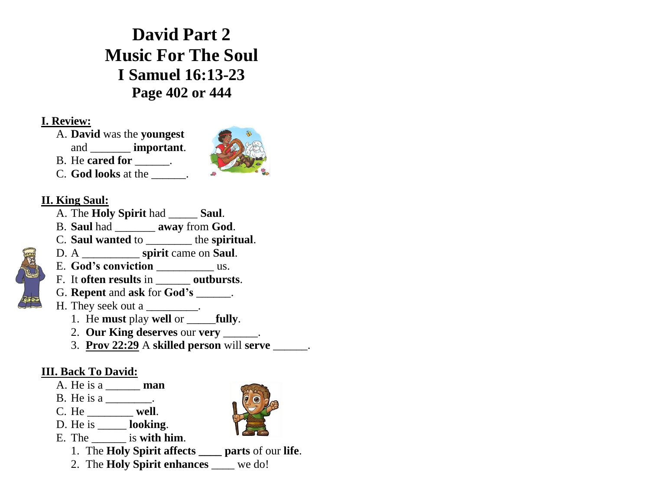**David Part 2 Music For The Soul I Samuel 16:13-23 Page 402 or 444**

## **I. Review:**

- A. **David** was the **youngest**
- and \_\_\_\_\_\_\_ **important**.
- B. He **cared for**  $\qquad$ .
- C. **God looks** at the \_\_\_\_\_\_.



- **II. King Saul:**
	- A. The **Holy Spirit** had \_\_\_\_\_ **Saul**.
	- B. **Saul** had \_\_\_\_\_\_\_ **away** from **God**.
	- C. **Saul wanted** to \_\_\_\_\_\_\_\_ the **spiritual**.
	- D. A \_\_\_\_\_\_\_\_\_\_ **spirit** came on **Saul**.
	- E. God's conviction us.
	- F. It **often results** in \_\_\_\_\_\_ **outbursts**.
	- G. **Repent** and **ask** for **God's** \_\_\_\_\_\_.
	- H. They seek out a \_\_\_\_\_\_\_\_\_.
		- 1. He **must** play **well** or \_\_\_\_\_**fully**.
		- 2. **Our King deserves** our **very** \_\_\_\_\_\_.
		- 3. **Prov 22:29** A **skilled person** will **serve** \_\_\_\_\_\_.

## **III. Back To David:**

- A. He is a \_\_\_\_\_\_ **man**
- B. He is a \_\_\_\_\_\_\_.
- C. He \_\_\_\_\_\_\_\_ **well**.
- D. He is \_\_\_\_\_ **looking**.
- E. The \_\_\_\_\_\_ is **with him**.
	- 1. The **Holy Spirit affects \_\_\_\_ parts** of our **life**.
	- 2. The **Holy Spirit enhances** \_\_\_\_ we do!